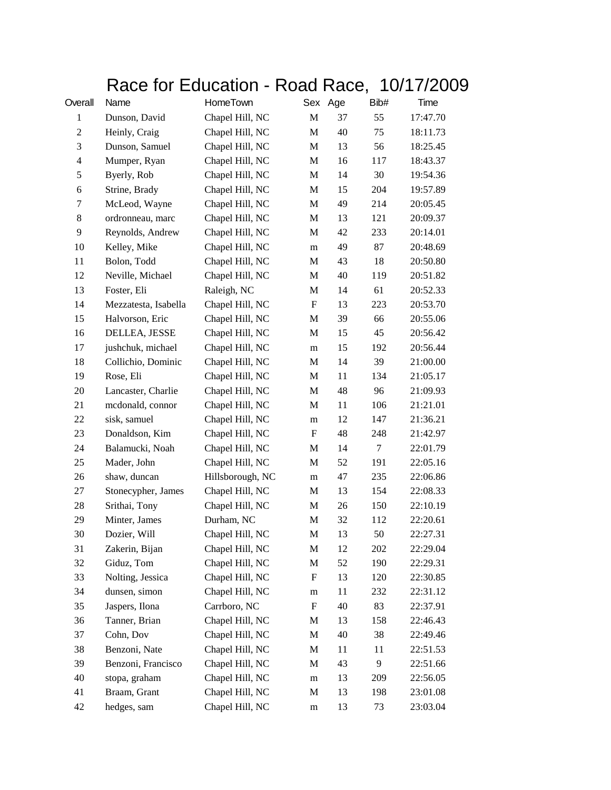## Race for Education - Road Race, 10/17/2009

| Overall          | Name                 | HomeTown         |             | Sex Age | Bib#   | Time     |
|------------------|----------------------|------------------|-------------|---------|--------|----------|
| $\mathbf{1}$     | Dunson, David        | Chapel Hill, NC  | $\mathbf M$ | 37      | 55     | 17:47.70 |
| $\mathbf{2}$     | Heinly, Craig        | Chapel Hill, NC  | M           | 40      | 75     | 18:11.73 |
| 3                | Dunson, Samuel       | Chapel Hill, NC  | $\mathbf M$ | 13      | 56     | 18:25.45 |
| $\overline{4}$   | Mumper, Ryan         | Chapel Hill, NC  | M           | 16      | 117    | 18:43.37 |
| 5                | Byerly, Rob          | Chapel Hill, NC  | M           | 14      | 30     | 19:54.36 |
| $\boldsymbol{6}$ | Strine, Brady        | Chapel Hill, NC  | M           | 15      | 204    | 19:57.89 |
| 7                | McLeod, Wayne        | Chapel Hill, NC  | M           | 49      | 214    | 20:05.45 |
| $\,8\,$          | ordronneau, marc     | Chapel Hill, NC  | $\mathbf M$ | 13      | 121    | 20:09.37 |
| 9                | Reynolds, Andrew     | Chapel Hill, NC  | M           | 42      | 233    | 20:14.01 |
| 10               | Kelley, Mike         | Chapel Hill, NC  | ${\bf m}$   | 49      | 87     | 20:48.69 |
| 11               | Bolon, Todd          | Chapel Hill, NC  | M           | 43      | 18     | 20:50.80 |
| 12               | Neville, Michael     | Chapel Hill, NC  | M           | 40      | 119    | 20:51.82 |
| 13               | Foster, Eli          | Raleigh, NC      | $\mathbf M$ | 14      | 61     | 20:52.33 |
| 14               | Mezzatesta, Isabella | Chapel Hill, NC  | F           | 13      | 223    | 20:53.70 |
| 15               | Halvorson, Eric      | Chapel Hill, NC  | M           | 39      | 66     | 20:55.06 |
| 16               | DELLEA, JESSE        | Chapel Hill, NC  | M           | 15      | 45     | 20:56.42 |
| 17               | jushchuk, michael    | Chapel Hill, NC  | m           | 15      | 192    | 20:56.44 |
| 18               | Collichio, Dominic   | Chapel Hill, NC  | $\mathbf M$ | 14      | 39     | 21:00.00 |
| 19               | Rose, Eli            | Chapel Hill, NC  | M           | 11      | 134    | 21:05.17 |
| 20               | Lancaster, Charlie   | Chapel Hill, NC  | M           | 48      | 96     | 21:09.93 |
| 21               | mcdonald, connor     | Chapel Hill, NC  | M           | 11      | 106    | 21:21.01 |
| 22               | sisk, samuel         | Chapel Hill, NC  | ${\bf m}$   | 12      | 147    | 21:36.21 |
| 23               | Donaldson, Kim       | Chapel Hill, NC  | F           | 48      | 248    | 21:42.97 |
| 24               | Balamucki, Noah      | Chapel Hill, NC  | M           | 14      | $\tau$ | 22:01.79 |
| 25               | Mader, John          | Chapel Hill, NC  | M           | 52      | 191    | 22:05.16 |
| 26               | shaw, duncan         | Hillsborough, NC | m           | 47      | 235    | 22:06.86 |
| 27               | Stonecypher, James   | Chapel Hill, NC  | M           | 13      | 154    | 22:08.33 |
| $28\,$           | Srithai, Tony        | Chapel Hill, NC  | $\mathbf M$ | 26      | 150    | 22:10.19 |
| 29               | Minter, James        | Durham, NC       | M           | 32      | 112    | 22:20.61 |
| 30               | Dozier, Will         | Chapel Hill, NC  | M           | 13      | 50     | 22:27.31 |
| 31               | Zakerin, Bijan       | Chapel Hill, NC  | M           | 12      | 202    | 22:29.04 |
| 32               | Giduz, Tom           | Chapel Hill, NC  | M           | 52      | 190    | 22:29.31 |
| 33               | Nolting, Jessica     | Chapel Hill, NC  | F           | 13      | 120    | 22:30.85 |
| 34               | dunsen, simon        | Chapel Hill, NC  | m           | 11      | 232    | 22:31.12 |
| 35               | Jaspers, Ilona       | Carrboro, NC     | F           | 40      | 83     | 22:37.91 |
| 36               | Tanner, Brian        | Chapel Hill, NC  | M           | 13      | 158    | 22:46.43 |
| 37               | Cohn, Dov            | Chapel Hill, NC  | M           | 40      | 38     | 22:49.46 |
| 38               | Benzoni, Nate        | Chapel Hill, NC  | M           | 11      | 11     | 22:51.53 |
| 39               | Benzoni, Francisco   | Chapel Hill, NC  | M           | 43      | 9      | 22:51.66 |
| 40               | stopa, graham        | Chapel Hill, NC  | ${\bf m}$   | 13      | 209    | 22:56.05 |
| 41               | Braam, Grant         | Chapel Hill, NC  | M           | 13      | 198    | 23:01.08 |
| 42               | hedges, sam          | Chapel Hill, NC  | m           | 13      | 73     | 23:03.04 |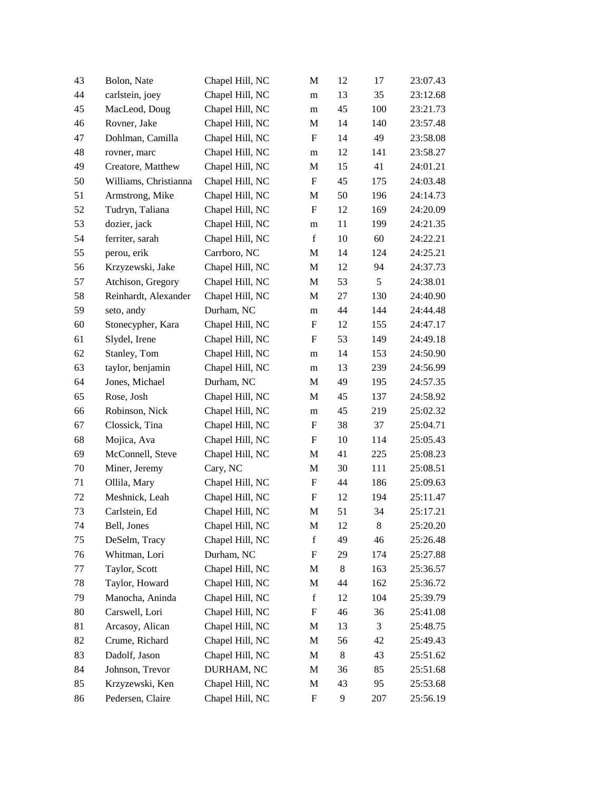| 43 | Bolon, Nate           | Chapel Hill, NC | M                         | 12    | 17  | 23:07.43 |
|----|-----------------------|-----------------|---------------------------|-------|-----|----------|
| 44 | carlstein, joey       | Chapel Hill, NC | m                         | 13    | 35  | 23:12.68 |
| 45 | MacLeod, Doug         | Chapel Hill, NC | m                         | 45    | 100 | 23:21.73 |
| 46 | Rovner, Jake          | Chapel Hill, NC | M                         | 14    | 140 | 23:57.48 |
| 47 | Dohlman, Camilla      | Chapel Hill, NC | F                         | 14    | 49  | 23:58.08 |
| 48 | rovner, marc          | Chapel Hill, NC | m                         | 12    | 141 | 23:58.27 |
| 49 | Creatore, Matthew     | Chapel Hill, NC | M                         | 15    | 41  | 24:01.21 |
| 50 | Williams, Christianna | Chapel Hill, NC | $\boldsymbol{\mathrm{F}}$ | 45    | 175 | 24:03.48 |
| 51 | Armstrong, Mike       | Chapel Hill, NC | M                         | 50    | 196 | 24:14.73 |
| 52 | Tudryn, Taliana       | Chapel Hill, NC | F                         | 12    | 169 | 24:20.09 |
| 53 | dozier, jack          | Chapel Hill, NC | m                         | 11    | 199 | 24:21.35 |
| 54 | ferriter, sarah       | Chapel Hill, NC | $\mathbf f$               | 10    | 60  | 24:22.21 |
| 55 | perou, erik           | Carrboro, NC    | M                         | 14    | 124 | 24:25.21 |
| 56 | Krzyzewski, Jake      | Chapel Hill, NC | M                         | 12    | 94  | 24:37.73 |
| 57 | Atchison, Gregory     | Chapel Hill, NC | M                         | 53    | 5   | 24:38.01 |
| 58 | Reinhardt, Alexander  | Chapel Hill, NC | M                         | 27    | 130 | 24:40.90 |
| 59 | seto, andy            | Durham, NC      | m                         | 44    | 144 | 24:44.48 |
| 60 | Stonecypher, Kara     | Chapel Hill, NC | $\boldsymbol{\mathrm{F}}$ | 12    | 155 | 24:47.17 |
| 61 | Slydel, Irene         | Chapel Hill, NC | F                         | 53    | 149 | 24:49.18 |
| 62 | Stanley, Tom          | Chapel Hill, NC | m                         | 14    | 153 | 24:50.90 |
| 63 | taylor, benjamin      | Chapel Hill, NC | m                         | 13    | 239 | 24:56.99 |
| 64 | Jones, Michael        | Durham, NC      | M                         | 49    | 195 | 24:57.35 |
| 65 | Rose, Josh            | Chapel Hill, NC | M                         | 45    | 137 | 24:58.92 |
| 66 | Robinson, Nick        | Chapel Hill, NC | m                         | 45    | 219 | 25:02.32 |
| 67 | Clossick, Tina        | Chapel Hill, NC | F                         | 38    | 37  | 25:04.71 |
| 68 | Mojica, Ava           | Chapel Hill, NC | $\boldsymbol{\mathrm{F}}$ | 10    | 114 | 25:05.43 |
| 69 | McConnell, Steve      | Chapel Hill, NC | M                         | 41    | 225 | 25:08.23 |
| 70 | Miner, Jeremy         | Cary, NC        | M                         | 30    | 111 | 25:08.51 |
| 71 | Ollila, Mary          | Chapel Hill, NC | F                         | 44    | 186 | 25:09.63 |
| 72 | Meshnick, Leah        | Chapel Hill, NC | F                         | 12    | 194 | 25:11.47 |
| 73 | Carlstein, Ed         | Chapel Hill, NC | M                         | 51    | 34  | 25:17.21 |
| 74 | Bell, Jones           | Chapel Hill, NC | M                         | 12    | 8   | 25:20.20 |
| 75 | DeSelm, Tracy         | Chapel Hill, NC | $\mathbf f$               | 49    | 46  | 25:26.48 |
| 76 | Whitman, Lori         | Durham, NC      | F                         | 29    | 174 | 25:27.88 |
| 77 | Taylor, Scott         | Chapel Hill, NC | M                         | 8     | 163 | 25:36.57 |
| 78 | Taylor, Howard        | Chapel Hill, NC | M                         | 44    | 162 | 25:36.72 |
| 79 | Manocha, Aninda       | Chapel Hill, NC | $\mathbf f$               | 12    | 104 | 25:39.79 |
| 80 | Carswell, Lori        | Chapel Hill, NC | $\boldsymbol{\mathrm{F}}$ | 46    | 36  | 25:41.08 |
| 81 | Arcasoy, Alican       | Chapel Hill, NC | M                         | 13    | 3   | 25:48.75 |
| 82 | Crume, Richard        | Chapel Hill, NC | M                         | 56    | 42  | 25:49.43 |
| 83 | Dadolf, Jason         | Chapel Hill, NC | M                         | $8\,$ | 43  | 25:51.62 |
| 84 | Johnson, Trevor       | DURHAM, NC      | M                         | 36    | 85  | 25:51.68 |
| 85 | Krzyzewski, Ken       | Chapel Hill, NC | M                         | 43    | 95  | 25:53.68 |
| 86 | Pedersen, Claire      | Chapel Hill, NC | F                         | 9     | 207 | 25:56.19 |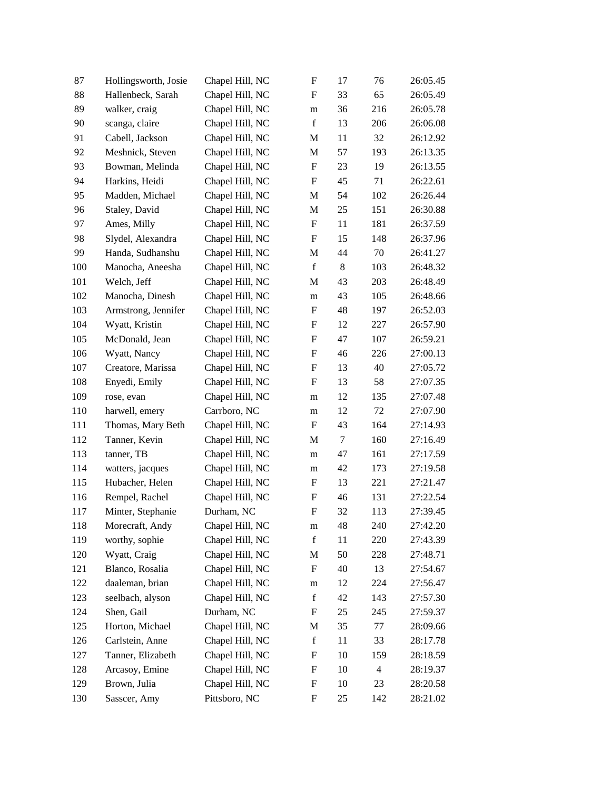| 87  | Hollingsworth, Josie | Chapel Hill, NC | $\boldsymbol{\mathrm{F}}$ | 17     | 76             | 26:05.45 |
|-----|----------------------|-----------------|---------------------------|--------|----------------|----------|
| 88  | Hallenbeck, Sarah    | Chapel Hill, NC | F                         | 33     | 65             | 26:05.49 |
| 89  | walker, craig        | Chapel Hill, NC | m                         | 36     | 216            | 26:05.78 |
| 90  | scanga, claire       | Chapel Hill, NC | $\mathbf f$               | 13     | 206            | 26:06.08 |
| 91  | Cabell, Jackson      | Chapel Hill, NC | M                         | 11     | 32             | 26:12.92 |
| 92  | Meshnick, Steven     | Chapel Hill, NC | M                         | 57     | 193            | 26:13.35 |
| 93  | Bowman, Melinda      | Chapel Hill, NC | F                         | 23     | 19             | 26:13.55 |
| 94  | Harkins, Heidi       | Chapel Hill, NC | F                         | 45     | 71             | 26:22.61 |
| 95  | Madden, Michael      | Chapel Hill, NC | M                         | 54     | 102            | 26:26.44 |
| 96  | Staley, David        | Chapel Hill, NC | M                         | 25     | 151            | 26:30.88 |
| 97  | Ames, Milly          | Chapel Hill, NC | $\boldsymbol{\mathrm{F}}$ | 11     | 181            | 26:37.59 |
| 98  | Slydel, Alexandra    | Chapel Hill, NC | F                         | 15     | 148            | 26:37.96 |
| 99  | Handa, Sudhanshu     | Chapel Hill, NC | M                         | 44     | 70             | 26:41.27 |
| 100 | Manocha, Aneesha     | Chapel Hill, NC | $\mathbf f$               | $8\,$  | 103            | 26:48.32 |
| 101 | Welch, Jeff          | Chapel Hill, NC | M                         | 43     | 203            | 26:48.49 |
| 102 | Manocha, Dinesh      | Chapel Hill, NC | m                         | 43     | 105            | 26:48.66 |
| 103 | Armstrong, Jennifer  | Chapel Hill, NC | F                         | 48     | 197            | 26:52.03 |
| 104 | Wyatt, Kristin       | Chapel Hill, NC | F                         | 12     | 227            | 26:57.90 |
| 105 | McDonald, Jean       | Chapel Hill, NC | F                         | 47     | 107            | 26:59.21 |
| 106 | Wyatt, Nancy         | Chapel Hill, NC | F                         | 46     | 226            | 27:00.13 |
| 107 | Creatore, Marissa    | Chapel Hill, NC | $\boldsymbol{\mathrm{F}}$ | 13     | 40             | 27:05.72 |
| 108 | Enyedi, Emily        | Chapel Hill, NC | F                         | 13     | 58             | 27:07.35 |
| 109 | rose, evan           | Chapel Hill, NC | m                         | 12     | 135            | 27:07.48 |
| 110 | harwell, emery       | Carrboro, NC    | m                         | 12     | 72             | 27:07.90 |
| 111 | Thomas, Mary Beth    | Chapel Hill, NC | F                         | 43     | 164            | 27:14.93 |
| 112 | Tanner, Kevin        | Chapel Hill, NC | M                         | $\tau$ | 160            | 27:16.49 |
| 113 | tanner, TB           | Chapel Hill, NC | m                         | 47     | 161            | 27:17.59 |
| 114 | watters, jacques     | Chapel Hill, NC | m                         | 42     | 173            | 27:19.58 |
| 115 | Hubacher, Helen      | Chapel Hill, NC | F                         | 13     | 221            | 27:21.47 |
| 116 | Rempel, Rachel       | Chapel Hill, NC | F                         | 46     | 131            | 27:22.54 |
| 117 | Minter, Stephanie    | Durham, NC      | $\boldsymbol{\mathrm{F}}$ | 32     | 113            | 27:39.45 |
| 118 | Morecraft, Andy      | Chapel Hill, NC | m                         | 48     | 240            | 27:42.20 |
| 119 | worthy, sophie       | Chapel Hill, NC | $\mathbf f$               | 11     | 220            | 27:43.39 |
| 120 | Wyatt, Craig         | Chapel Hill, NC | M                         | 50     | 228            | 27:48.71 |
| 121 | Blanco, Rosalia      | Chapel Hill, NC | F                         | 40     | 13             | 27:54.67 |
| 122 | daaleman, brian      | Chapel Hill, NC | m                         | 12     | 224            | 27:56.47 |
| 123 | seelbach, alyson     | Chapel Hill, NC | $\mathbf f$               | 42     | 143            | 27:57.30 |
| 124 | Shen, Gail           | Durham, NC      | F                         | 25     | 245            | 27:59.37 |
| 125 | Horton, Michael      | Chapel Hill, NC | M                         | 35     | 77             | 28:09.66 |
| 126 | Carlstein, Anne      | Chapel Hill, NC | $\mathbf f$               | 11     | 33             | 28:17.78 |
| 127 | Tanner, Elizabeth    | Chapel Hill, NC | F                         | 10     | 159            | 28:18.59 |
| 128 | Arcasoy, Emine       | Chapel Hill, NC | F                         | 10     | $\overline{4}$ | 28:19.37 |
| 129 | Brown, Julia         | Chapel Hill, NC | F                         | 10     | 23             | 28:20.58 |
| 130 | Sasscer, Amy         | Pittsboro, NC   | F                         | 25     | 142            | 28:21.02 |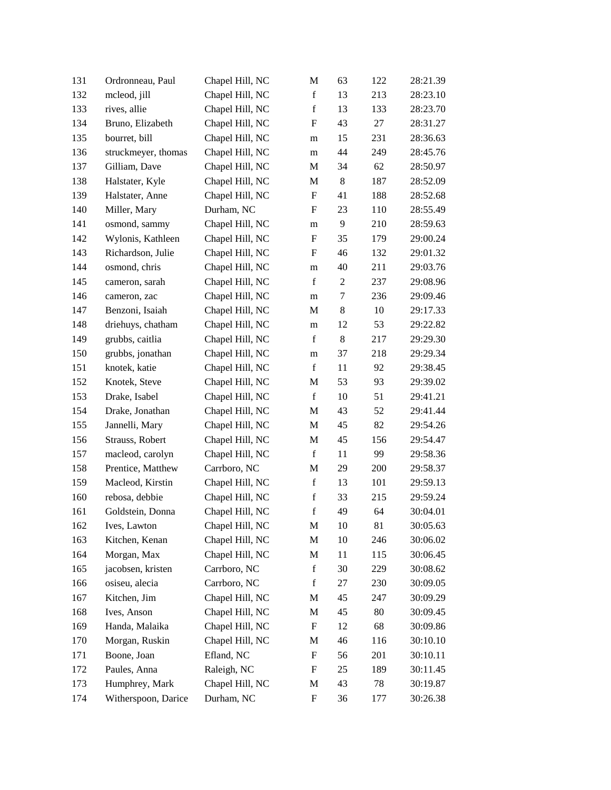| 131 | Ordronneau, Paul    | Chapel Hill, NC | M                         | 63             | 122 | 28:21.39 |
|-----|---------------------|-----------------|---------------------------|----------------|-----|----------|
| 132 | mcleod, jill        | Chapel Hill, NC | $\mathbf f$               | 13             | 213 | 28:23.10 |
| 133 | rives, allie        | Chapel Hill, NC | $\mathbf f$               | 13             | 133 | 28:23.70 |
| 134 | Bruno, Elizabeth    | Chapel Hill, NC | F                         | 43             | 27  | 28:31.27 |
| 135 | bourret, bill       | Chapel Hill, NC | m                         | 15             | 231 | 28:36.63 |
| 136 | struckmeyer, thomas | Chapel Hill, NC | m                         | 44             | 249 | 28:45.76 |
| 137 | Gilliam, Dave       | Chapel Hill, NC | M                         | 34             | 62  | 28:50.97 |
| 138 | Halstater, Kyle     | Chapel Hill, NC | M                         | 8              | 187 | 28:52.09 |
| 139 | Halstater, Anne     | Chapel Hill, NC | F                         | 41             | 188 | 28:52.68 |
| 140 | Miller, Mary        | Durham, NC      | F                         | 23             | 110 | 28:55.49 |
| 141 | osmond, sammy       | Chapel Hill, NC | m                         | 9              | 210 | 28:59.63 |
| 142 | Wylonis, Kathleen   | Chapel Hill, NC | F                         | 35             | 179 | 29:00.24 |
| 143 | Richardson, Julie   | Chapel Hill, NC | F                         | 46             | 132 | 29:01.32 |
| 144 | osmond, chris       | Chapel Hill, NC | m                         | 40             | 211 | 29:03.76 |
| 145 | cameron, sarah      | Chapel Hill, NC | $\mathbf f$               | $\overline{c}$ | 237 | 29:08.96 |
| 146 | cameron, zac        | Chapel Hill, NC | m                         | 7              | 236 | 29:09.46 |
| 147 | Benzoni, Isaiah     | Chapel Hill, NC | M                         | 8              | 10  | 29:17.33 |
| 148 | driehuys, chatham   | Chapel Hill, NC | m                         | 12             | 53  | 29:22.82 |
| 149 | grubbs, caitlia     | Chapel Hill, NC | $\mathbf f$               | 8              | 217 | 29:29.30 |
| 150 | grubbs, jonathan    | Chapel Hill, NC | m                         | 37             | 218 | 29:29.34 |
| 151 | knotek, katie       | Chapel Hill, NC | $\mathbf f$               | 11             | 92  | 29:38.45 |
| 152 | Knotek, Steve       | Chapel Hill, NC | M                         | 53             | 93  | 29:39.02 |
| 153 | Drake, Isabel       | Chapel Hill, NC | $\mathbf f$               | 10             | 51  | 29:41.21 |
| 154 | Drake, Jonathan     | Chapel Hill, NC | M                         | 43             | 52  | 29:41.44 |
| 155 | Jannelli, Mary      | Chapel Hill, NC | M                         | 45             | 82  | 29:54.26 |
| 156 | Strauss, Robert     | Chapel Hill, NC | M                         | 45             | 156 | 29:54.47 |
| 157 | macleod, carolyn    | Chapel Hill, NC | $\mathbf f$               | 11             | 99  | 29:58.36 |
| 158 | Prentice, Matthew   | Carrboro, NC    | M                         | 29             | 200 | 29:58.37 |
| 159 | Macleod, Kirstin    | Chapel Hill, NC | $\mathbf f$               | 13             | 101 | 29:59.13 |
| 160 | rebosa, debbie      | Chapel Hill, NC | $\mathbf f$               | 33             | 215 | 29:59.24 |
| 161 | Goldstein, Donna    | Chapel Hill, NC | $\mathbf f$               | 49             | 64  | 30:04.01 |
| 162 | Ives, Lawton        | Chapel Hill, NC | M                         | 10             | 81  | 30:05.63 |
| 163 | Kitchen, Kenan      | Chapel Hill, NC | M                         | 10             | 246 | 30:06.02 |
| 164 | Morgan, Max         | Chapel Hill, NC | M                         | 11             | 115 | 30:06.45 |
| 165 | jacobsen, kristen   | Carrboro, NC    | $\mathbf f$               | 30             | 229 | 30:08.62 |
| 166 | osiseu, alecia      | Carrboro, NC    | $\mathbf f$               | 27             | 230 | 30:09.05 |
| 167 | Kitchen, Jim        | Chapel Hill, NC | M                         | 45             | 247 | 30:09.29 |
| 168 | Ives, Anson         | Chapel Hill, NC | M                         | 45             | 80  | 30:09.45 |
| 169 | Handa, Malaika      | Chapel Hill, NC | $\boldsymbol{\mathrm{F}}$ | 12             | 68  | 30:09.86 |
| 170 | Morgan, Ruskin      | Chapel Hill, NC | M                         | 46             | 116 | 30:10.10 |
| 171 | Boone, Joan         | Efland, NC      | F                         | 56             | 201 | 30:10.11 |
| 172 | Paules, Anna        | Raleigh, NC     | F                         | 25             | 189 | 30:11.45 |
| 173 | Humphrey, Mark      | Chapel Hill, NC | M                         | 43             | 78  | 30:19.87 |
| 174 | Witherspoon, Darice | Durham, NC      | F                         | 36             | 177 | 30:26.38 |
|     |                     |                 |                           |                |     |          |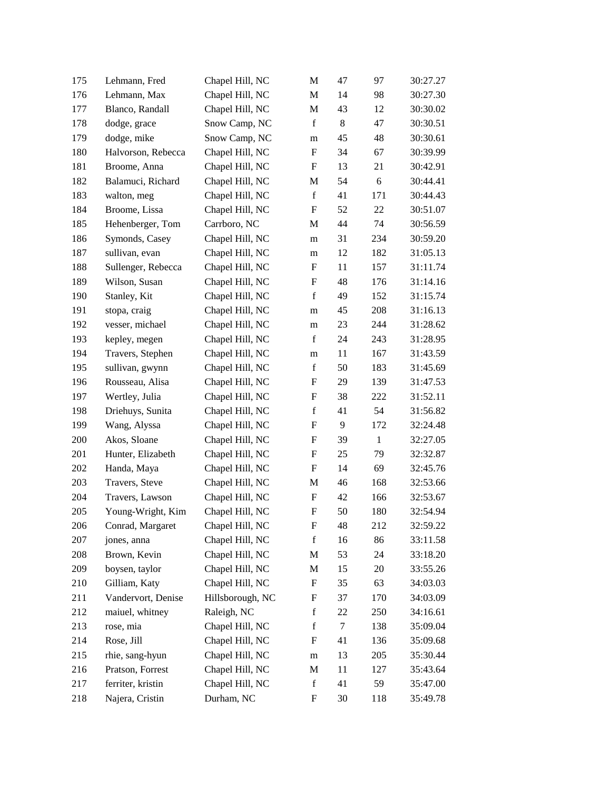| 175 | Lehmann, Fred      | Chapel Hill, NC  | M                         | 47 | 97           | 30:27.27 |
|-----|--------------------|------------------|---------------------------|----|--------------|----------|
| 176 | Lehmann, Max       | Chapel Hill, NC  | M                         | 14 | 98           | 30:27.30 |
| 177 | Blanco, Randall    | Chapel Hill, NC  | M                         | 43 | 12           | 30:30.02 |
| 178 | dodge, grace       | Snow Camp, NC    | $\mathbf f$               | 8  | 47           | 30:30.51 |
| 179 | dodge, mike        | Snow Camp, NC    | m                         | 45 | 48           | 30:30.61 |
| 180 | Halvorson, Rebecca | Chapel Hill, NC  | $\boldsymbol{\mathrm{F}}$ | 34 | 67           | 30:39.99 |
| 181 | Broome, Anna       | Chapel Hill, NC  | F                         | 13 | 21           | 30:42.91 |
| 182 | Balamuci, Richard  | Chapel Hill, NC  | M                         | 54 | 6            | 30:44.41 |
| 183 | walton, meg        | Chapel Hill, NC  | $\mathbf f$               | 41 | 171          | 30:44.43 |
| 184 | Broome, Lissa      | Chapel Hill, NC  | F                         | 52 | 22           | 30:51.07 |
| 185 | Hehenberger, Tom   | Carrboro, NC     | M                         | 44 | 74           | 30:56.59 |
| 186 | Symonds, Casey     | Chapel Hill, NC  | m                         | 31 | 234          | 30:59.20 |
| 187 | sullivan, evan     | Chapel Hill, NC  | m                         | 12 | 182          | 31:05.13 |
| 188 | Sullenger, Rebecca | Chapel Hill, NC  | F                         | 11 | 157          | 31:11.74 |
| 189 | Wilson, Susan      | Chapel Hill, NC  | F                         | 48 | 176          | 31:14.16 |
| 190 | Stanley, Kit       | Chapel Hill, NC  | $\mathbf f$               | 49 | 152          | 31:15.74 |
| 191 | stopa, craig       | Chapel Hill, NC  | m                         | 45 | 208          | 31:16.13 |
| 192 | vesser, michael    | Chapel Hill, NC  | m                         | 23 | 244          | 31:28.62 |
| 193 | kepley, megen      | Chapel Hill, NC  | $\mathbf f$               | 24 | 243          | 31:28.95 |
| 194 | Travers, Stephen   | Chapel Hill, NC  | m                         | 11 | 167          | 31:43.59 |
| 195 | sullivan, gwynn    | Chapel Hill, NC  | $\mathbf f$               | 50 | 183          | 31:45.69 |
| 196 | Rousseau, Alisa    | Chapel Hill, NC  | F                         | 29 | 139          | 31:47.53 |
| 197 | Wertley, Julia     | Chapel Hill, NC  | F                         | 38 | 222          | 31:52.11 |
| 198 | Driehuys, Sunita   | Chapel Hill, NC  | $\mathbf f$               | 41 | 54           | 31:56.82 |
| 199 | Wang, Alyssa       | Chapel Hill, NC  | F                         | 9  | 172          | 32:24.48 |
| 200 | Akos, Sloane       | Chapel Hill, NC  | F                         | 39 | $\mathbf{1}$ | 32:27.05 |
| 201 | Hunter, Elizabeth  | Chapel Hill, NC  | F                         | 25 | 79           | 32:32.87 |
| 202 | Handa, Maya        | Chapel Hill, NC  | F                         | 14 | 69           | 32:45.76 |
| 203 | Travers, Steve     | Chapel Hill, NC  | M                         | 46 | 168          | 32:53.66 |
| 204 | Travers, Lawson    | Chapel Hill, NC  | F                         | 42 | 166          | 32:53.67 |
| 205 | Young-Wright, Kim  | Chapel Hill, NC  | F                         | 50 | 180          | 32:54.94 |
| 206 | Conrad, Margaret   | Chapel Hill, NC  | F                         | 48 | 212          | 32:59.22 |
| 207 | jones, anna        | Chapel Hill, NC  | $\mathbf f$               | 16 | 86           | 33:11.58 |
| 208 | Brown, Kevin       | Chapel Hill, NC  | M                         | 53 | 24           | 33:18.20 |
| 209 | boysen, taylor     | Chapel Hill, NC  | M                         | 15 | 20           | 33:55.26 |
| 210 | Gilliam, Katy      | Chapel Hill, NC  | F                         | 35 | 63           | 34:03.03 |
| 211 | Vandervort, Denise | Hillsborough, NC | F                         | 37 | 170          | 34:03.09 |
| 212 | maiuel, whitney    | Raleigh, NC      | $\mathbf f$               | 22 | 250          | 34:16.61 |
| 213 | rose, mia          | Chapel Hill, NC  | $\mathbf f$               | 7  | 138          | 35:09.04 |
| 214 | Rose, Jill         | Chapel Hill, NC  | F                         | 41 | 136          | 35:09.68 |
| 215 | rhie, sang-hyun    | Chapel Hill, NC  | m                         | 13 | 205          | 35:30.44 |
| 216 | Pratson, Forrest   | Chapel Hill, NC  | M                         | 11 | 127          | 35:43.64 |
| 217 | ferriter, kristin  | Chapel Hill, NC  | $\mathbf f$               | 41 | 59           | 35:47.00 |
| 218 | Najera, Cristin    | Durham, NC       | F                         | 30 | 118          | 35:49.78 |